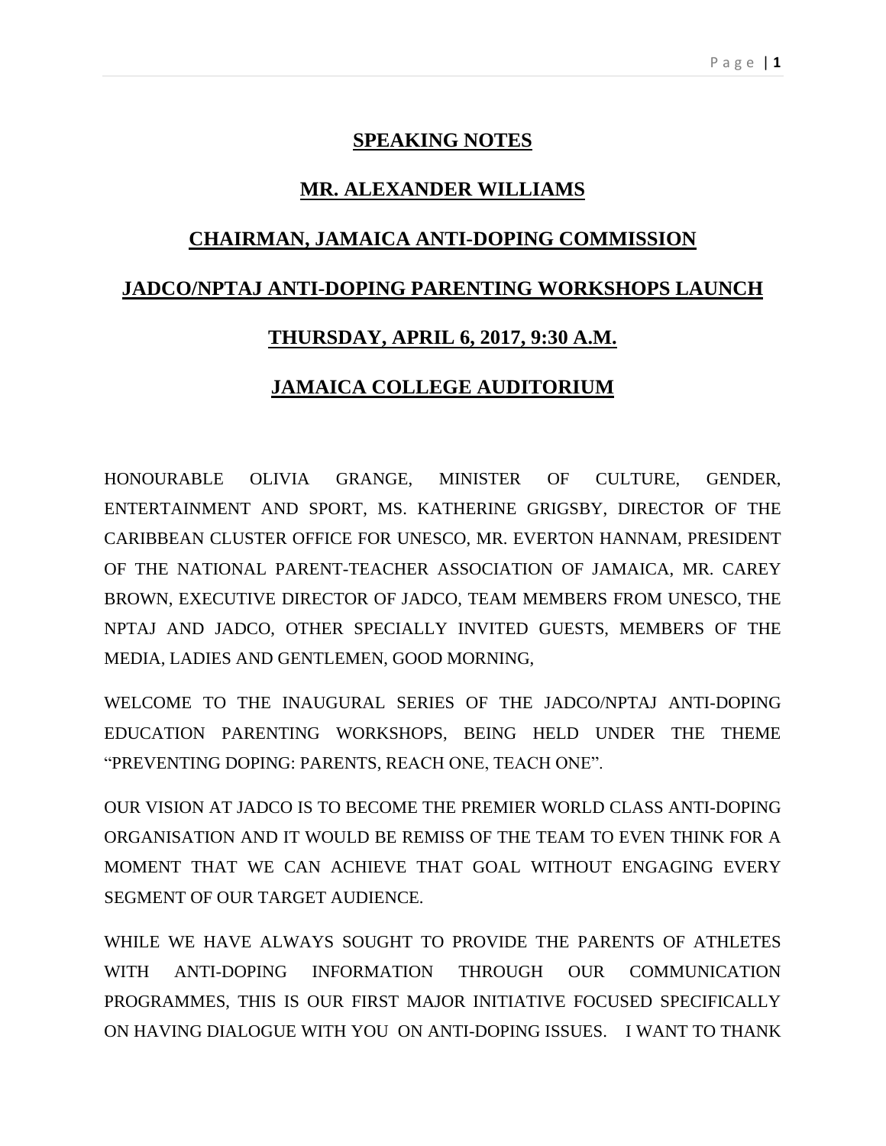# **SPEAKING NOTES**

## **MR. ALEXANDER WILLIAMS**

#### **CHAIRMAN, JAMAICA ANTI-DOPING COMMISSION**

### **JADCO/NPTAJ ANTI-DOPING PARENTING WORKSHOPS LAUNCH**

### **THURSDAY, APRIL 6, 2017, 9:30 A.M.**

### **JAMAICA COLLEGE AUDITORIUM**

HONOURABLE OLIVIA GRANGE, MINISTER OF CULTURE, GENDER, ENTERTAINMENT AND SPORT, MS. KATHERINE GRIGSBY, DIRECTOR OF THE CARIBBEAN CLUSTER OFFICE FOR UNESCO, MR. EVERTON HANNAM, PRESIDENT OF THE NATIONAL PARENT-TEACHER ASSOCIATION OF JAMAICA, MR. CAREY BROWN, EXECUTIVE DIRECTOR OF JADCO, TEAM MEMBERS FROM UNESCO, THE NPTAJ AND JADCO, OTHER SPECIALLY INVITED GUESTS, MEMBERS OF THE MEDIA, LADIES AND GENTLEMEN, GOOD MORNING,

WELCOME TO THE INAUGURAL SERIES OF THE JADCO/NPTAJ ANTI-DOPING EDUCATION PARENTING WORKSHOPS, BEING HELD UNDER THE THEME "PREVENTING DOPING: PARENTS, REACH ONE, TEACH ONE".

OUR VISION AT JADCO IS TO BECOME THE PREMIER WORLD CLASS ANTI-DOPING ORGANISATION AND IT WOULD BE REMISS OF THE TEAM TO EVEN THINK FOR A MOMENT THAT WE CAN ACHIEVE THAT GOAL WITHOUT ENGAGING EVERY SEGMENT OF OUR TARGET AUDIENCE.

WHILE WE HAVE ALWAYS SOUGHT TO PROVIDE THE PARENTS OF ATHLETES WITH ANTI-DOPING INFORMATION THROUGH OUR COMMUNICATION PROGRAMMES, THIS IS OUR FIRST MAJOR INITIATIVE FOCUSED SPECIFICALLY ON HAVING DIALOGUE WITH YOU ON ANTI-DOPING ISSUES. I WANT TO THANK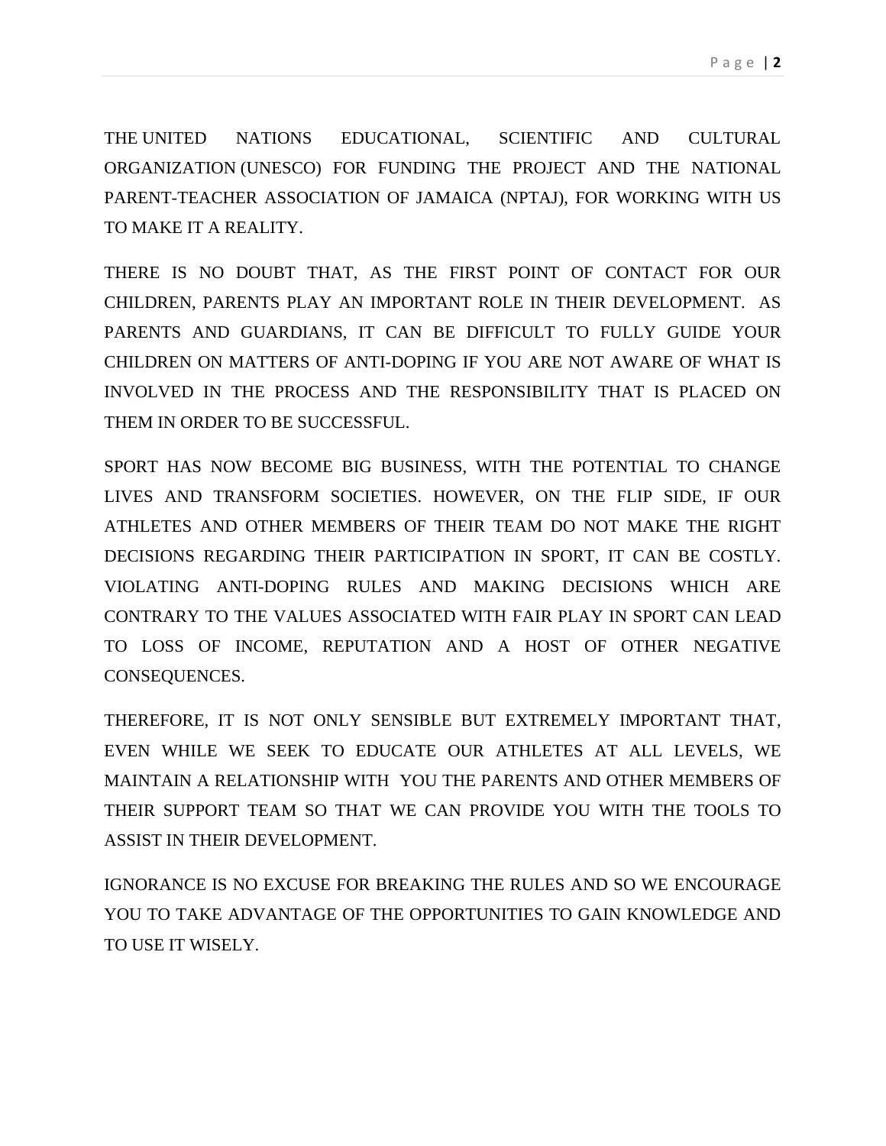THE UNITED NATIONS EDUCATIONAL, SCIENTIFIC AND CULTURAL ORGANIZATION (UNESCO) FOR FUNDING THE PROJECT AND THE NATIONAL PARENT-TEACHER ASSOCIATION OF JAMAICA (NPTAJ), FOR WORKING WITH US TO MAKE IT A REALITY.

THERE IS NO DOUBT THAT, AS THE FIRST POINT OF CONTACT FOR OUR CHILDREN, PARENTS PLAY AN IMPORTANT ROLE IN THEIR DEVELOPMENT. AS PARENTS AND GUARDIANS, IT CAN BE DIFFICULT TO FULLY GUIDE YOUR CHILDREN ON MATTERS OF ANTI-DOPING IF YOU ARE NOT AWARE OF WHAT IS INVOLVED IN THE PROCESS AND THE RESPONSIBILITY THAT IS PLACED ON THEM IN ORDER TO BE SUCCESSFUL.

SPORT HAS NOW BECOME BIG BUSINESS, WITH THE POTENTIAL TO CHANGE LIVES AND TRANSFORM SOCIETIES. HOWEVER, ON THE FLIP SIDE, IF OUR ATHLETES AND OTHER MEMBERS OF THEIR TEAM DO NOT MAKE THE RIGHT DECISIONS REGARDING THEIR PARTICIPATION IN SPORT, IT CAN BE COSTLY. VIOLATING ANTI-DOPING RULES AND MAKING DECISIONS WHICH ARE CONTRARY TO THE VALUES ASSOCIATED WITH FAIR PLAY IN SPORT CAN LEAD TO LOSS OF INCOME, REPUTATION AND A HOST OF OTHER NEGATIVE CONSEQUENCES.

THEREFORE, IT IS NOT ONLY SENSIBLE BUT EXTREMELY IMPORTANT THAT, EVEN WHILE WE SEEK TO EDUCATE OUR ATHLETES AT ALL LEVELS, WE MAINTAIN A RELATIONSHIP WITH YOU THE PARENTS AND OTHER MEMBERS OF THEIR SUPPORT TEAM SO THAT WE CAN PROVIDE YOU WITH THE TOOLS TO ASSIST IN THEIR DEVELOPMENT.

IGNORANCE IS NO EXCUSE FOR BREAKING THE RULES AND SO WE ENCOURAGE YOU TO TAKE ADVANTAGE OF THE OPPORTUNITIES TO GAIN KNOWLEDGE AND TO USE IT WISELY.